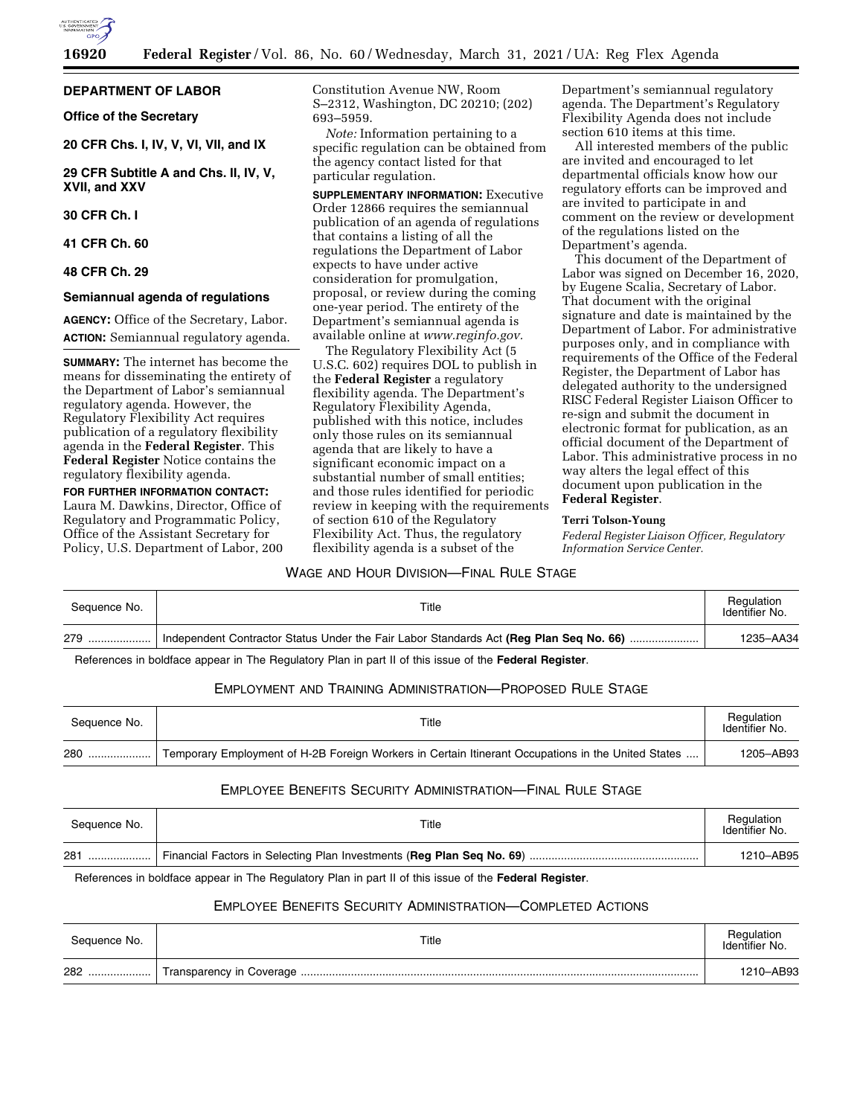

### **DEPARTMENT OF LABOR**

**Office of the Secretary** 

**20 CFR Chs. I, IV, V, VI, VII, and IX** 

**29 CFR Subtitle A and Chs. II, IV, V, XVII, and XXV** 

# **30 CFR Ch. I**

### **41 CFR Ch. 60**

#### **48 CFR Ch. 29**

#### **Semiannual agenda of regulations**

**AGENCY:** Office of the Secretary, Labor. **ACTION:** Semiannual regulatory agenda.

**SUMMARY:** The internet has become the means for disseminating the entirety of the Department of Labor's semiannual regulatory agenda. However, the Regulatory Flexibility Act requires publication of a regulatory flexibility agenda in the **Federal Register**. This **Federal Register** Notice contains the regulatory flexibility agenda.

**FOR FURTHER INFORMATION CONTACT:**  Laura M. Dawkins, Director, Office of Regulatory and Programmatic Policy, Office of the Assistant Secretary for Policy, U.S. Department of Labor, 200 Constitution Avenue NW, Room S–2312, Washington, DC 20210; (202) 693–5959.

*Note:* Information pertaining to a specific regulation can be obtained from the agency contact listed for that particular regulation.

**SUPPLEMENTARY INFORMATION:** Executive Order 12866 requires the semiannual publication of an agenda of regulations that contains a listing of all the regulations the Department of Labor expects to have under active consideration for promulgation, proposal, or review during the coming one-year period. The entirety of the Department's semiannual agenda is available online at *[www.reginfo.gov.](http://www.reginfo.gov)* 

The Regulatory Flexibility Act (5 U.S.C. 602) requires DOL to publish in the **Federal Register** a regulatory flexibility agenda. The Department's Regulatory Flexibility Agenda, published with this notice, includes only those rules on its semiannual agenda that are likely to have a significant economic impact on a substantial number of small entities; and those rules identified for periodic review in keeping with the requirements of section 610 of the Regulatory Flexibility Act. Thus, the regulatory flexibility agenda is a subset of the

Department's semiannual regulatory agenda. The Department's Regulatory Flexibility Agenda does not include section 610 items at this time.

All interested members of the public are invited and encouraged to let departmental officials know how our regulatory efforts can be improved and are invited to participate in and comment on the review or development of the regulations listed on the Department's agenda.

This document of the Department of Labor was signed on December 16, 2020, by Eugene Scalia, Secretary of Labor. That document with the original signature and date is maintained by the Department of Labor. For administrative purposes only, and in compliance with requirements of the Office of the Federal Register, the Department of Labor has delegated authority to the undersigned RISC Federal Register Liaison Officer to re-sign and submit the document in electronic format for publication, as an official document of the Department of Labor. This administrative process in no way alters the legal effect of this document upon publication in the **Federal Register**.

#### **Terri Tolson-Young**

*Federal Register Liaison Officer, Regulatory Information Service Center.* 

## WAGE AND HOUR DIVISION—FINAL RULE STAGE

| Sequence No. | Title                                                                                  | Regulation<br>Identifier No. |
|--------------|----------------------------------------------------------------------------------------|------------------------------|
| 279          | Independent Contractor Status Under the Fair Labor Standards Act (Reg Plan Seq No. 66) | 1235-AA34                    |

References in boldface appear in The Regulatory Plan in part II of this issue of the **Federal Register**.

## EMPLOYMENT AND TRAINING ADMINISTRATION—PROPOSED RULE STAGE

| Sequence No. | Title                                                                                              | Regulation<br>Identifier No. |
|--------------|----------------------------------------------------------------------------------------------------|------------------------------|
| 280          | Temporary Employment of H-2B Foreign Workers in Certain Itinerant Occupations in the United States | 1205-AB93                    |

# EMPLOYEE BENEFITS SECURITY ADMINISTRATION—FINAL RULE STAGE

| Sequence No. | Title | Regulation<br>Identifier No. |
|--------------|-------|------------------------------|
| 281<br>      |       | 1210-AB95                    |

References in boldface appear in The Regulatory Plan in part II of this issue of the **Federal Register**.

# EMPLOYEE BENEFITS SECURITY ADMINISTRATION—COMPLETED ACTIONS

| Sequence No. | Title | Regulation<br>Identifier No. |
|--------------|-------|------------------------------|
| 282<br>      |       | 1210-AB93                    |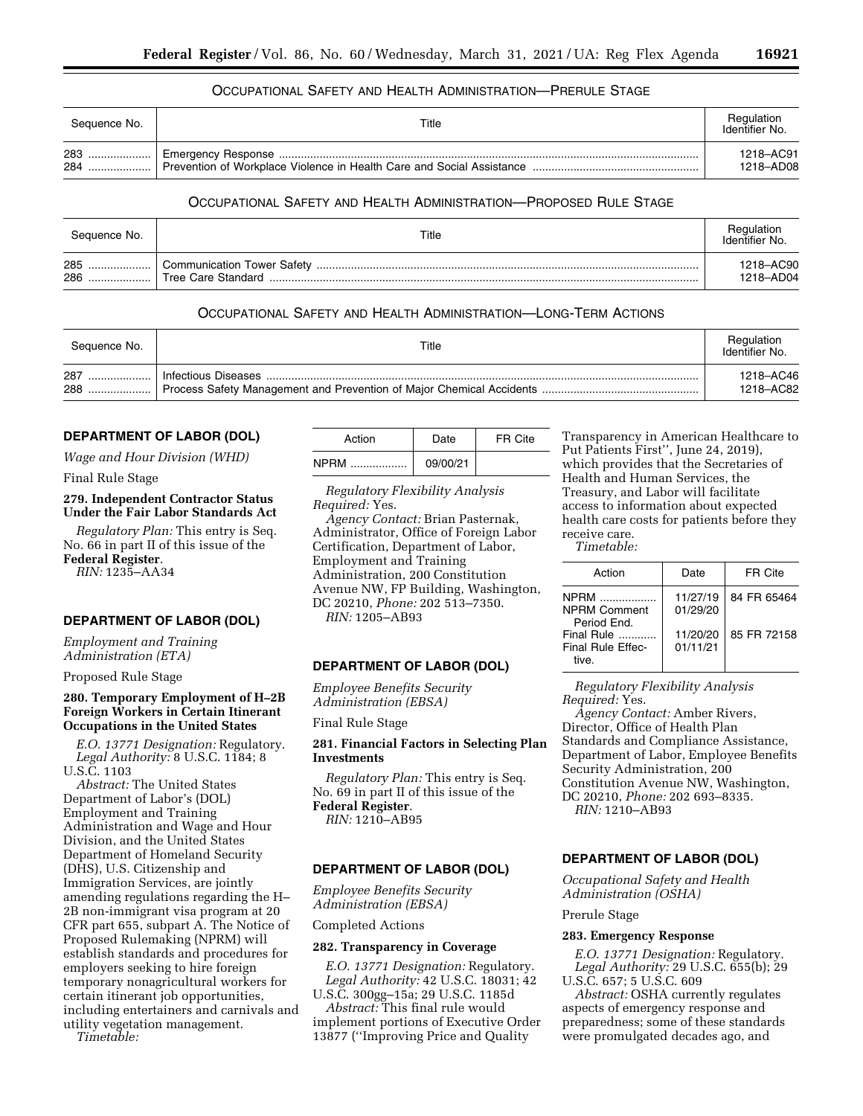## OCCUPATIONAL SAFETY AND HEALTH ADMINISTRATION—PRERULE STAGE

| Seauence No. | Title | Regulation<br>Identifier No. |
|--------------|-------|------------------------------|
| 283          |       | 1218-AC91                    |
| 284          |       | 1218-AD08                    |

## OCCUPATIONAL SAFETY AND HEALTH ADMINISTRATION—PROPOSED RULE STAGE

| Sequence No.   | Title                                                   | Regulation<br>Identifier No. |
|----------------|---------------------------------------------------------|------------------------------|
| 285<br><br>286 | <b>Communication Tower Safety</b><br>Tree Care Standard | 1218-AC90<br>1218-AD04       |

# OCCUPATIONAL SAFETY AND HEALTH ADMINISTRATION—LONG-TERM ACTIONS

| Sequence No. | Title | Regulation<br>Identifier No. |
|--------------|-------|------------------------------|
| 287          |       | 1218–AC46                    |
| 288          |       | 1218-AC82                    |

# **DEPARTMENT OF LABOR (DOL)**

*Wage and Hour Division (WHD)* 

Final Rule Stage

## **279. Independent Contractor Status Under the Fair Labor Standards Act**

*Regulatory Plan:* This entry is Seq. No. 66 in part II of this issue of the **Federal Register**.

*RIN:* 1235–AA34

# **DEPARTMENT OF LABOR (DOL)**

*Employment and Training Administration (ETA)* 

#### Proposed Rule Stage

### **280. Temporary Employment of H–2B Foreign Workers in Certain Itinerant Occupations in the United States**

*E.O. 13771 Designation:* Regulatory. *Legal Authority:* 8 U.S.C. 1184; 8 U.S.C. 1103

*Abstract:* The United States Department of Labor's (DOL) Employment and Training Administration and Wage and Hour Division, and the United States Department of Homeland Security (DHS), U.S. Citizenship and Immigration Services, are jointly amending regulations regarding the H– 2B non-immigrant visa program at 20 CFR part 655, subpart A. The Notice of Proposed Rulemaking (NPRM) will establish standards and procedures for employers seeking to hire foreign temporary nonagricultural workers for certain itinerant job opportunities, including entertainers and carnivals and utility vegetation management.

*Timetable:* 

| Action          | Date     | FR Cite |
|-----------------|----------|---------|
| <b>NPRM</b><br> | 09/00/21 |         |

*Regulatory Flexibility Analysis Required:* Yes.

*Agency Contact:* Brian Pasternak, Administrator, Office of Foreign Labor Certification, Department of Labor, Employment and Training Administration, 200 Constitution Avenue NW, FP Building, Washington, DC 20210, *Phone:* 202 513–7350. *RIN:* 1205–AB93

## **DEPARTMENT OF LABOR (DOL)**

*Employee Benefits Security Administration (EBSA)* 

Final Rule Stage

**281. Financial Factors in Selecting Plan Investments** 

*Regulatory Plan:* This entry is Seq. No. 69 in part II of this issue of the **Federal Register**. *RIN:* 1210–AB95

#### **DEPARTMENT OF LABOR (DOL)**

*Employee Benefits Security Administration (EBSA)* 

#### Completed Actions

### **282. Transparency in Coverage**

*E.O. 13771 Designation:* Regulatory. *Legal Authority:* 42 U.S.C. 18031; 42 U.S.C. 300gg–15a; 29 U.S.C. 1185d

*Abstract:* This final rule would implement portions of Executive Order 13877 (''Improving Price and Quality

Transparency in American Healthcare to Put Patients First'', June 24, 2019), which provides that the Secretaries of Health and Human Services, the Treasury, and Labor will facilitate access to information about expected health care costs for patients before they receive care. *Timetable:* 

| Action                                            | Date                 | FR Cite     |
|---------------------------------------------------|----------------------|-------------|
| <b>NPRM</b><br><b>NPRM Comment</b><br>Period Fnd. | 11/27/19<br>01/29/20 | 84 FR 65464 |
| Final Rule<br>Final Rule Effec-<br>tive           | 11/20/20<br>01/11/21 | 85 FR 72158 |

*Regulatory Flexibility Analysis Required:* Yes.

*Agency Contact:* Amber Rivers, Director, Office of Health Plan Standards and Compliance Assistance, Department of Labor, Employee Benefits Security Administration, 200 Constitution Avenue NW, Washington, DC 20210, *Phone:* 202 693–8335. *RIN:* 1210–AB93

## **DEPARTMENT OF LABOR (DOL)**

*Occupational Safety and Health Administration (OSHA)* 

Prerule Stage

## **283. Emergency Response**

*E.O. 13771 Designation:* Regulatory. *Legal Authority:* 29 U.S.C. 655(b); 29 U.S.C. 657; 5 U.S.C. 609

*Abstract:* OSHA currently regulates aspects of emergency response and preparedness; some of these standards were promulgated decades ago, and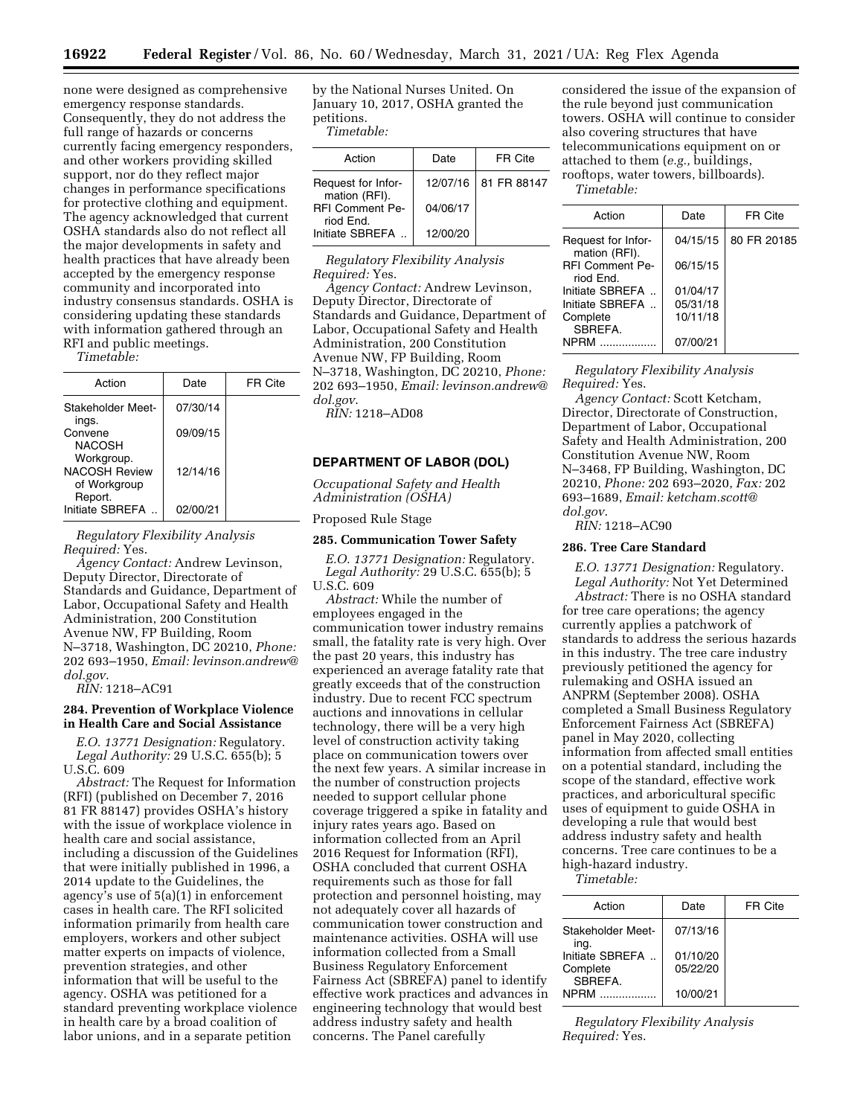none were designed as comprehensive emergency response standards. Consequently, they do not address the full range of hazards or concerns currently facing emergency responders, and other workers providing skilled support, nor do they reflect major changes in performance specifications for protective clothing and equipment. The agency acknowledged that current OSHA standards also do not reflect all the major developments in safety and health practices that have already been accepted by the emergency response community and incorporated into industry consensus standards. OSHA is considering updating these standards with information gathered through an RFI and public meetings.

*Timetable:* 

| Action                                             | Date     | FR Cite |
|----------------------------------------------------|----------|---------|
| Stakeholder Meet-<br>ings.                         | 07/30/14 |         |
| Convene<br>NACOSH                                  | 09/09/15 |         |
| Workgroup.<br><b>NACOSH Review</b><br>of Workgroup | 12/14/16 |         |
| Report.<br>Initiate SBREFA                         | 02/00/21 |         |

*Regulatory Flexibility Analysis Required:* Yes.

*Agency Contact:* Andrew Levinson, Deputy Director, Directorate of Standards and Guidance, Department of Labor, Occupational Safety and Health Administration, 200 Constitution Avenue NW, FP Building, Room N–3718, Washington, DC 20210, *Phone:*  202 693–1950, *Email: [levinson.andrew@](mailto:levinson.andrew@dol.gov) [dol.gov](mailto:levinson.andrew@dol.gov)*.

*RIN:* 1218–AC91

#### **284. Prevention of Workplace Violence in Health Care and Social Assistance**

*E.O. 13771 Designation:* Regulatory. *Legal Authority:* 29 U.S.C. 655(b); 5 U.S.C. 609

*Abstract:* The Request for Information (RFI) (published on December 7, 2016 81 FR 88147) provides OSHA's history with the issue of workplace violence in health care and social assistance, including a discussion of the Guidelines that were initially published in 1996, a 2014 update to the Guidelines, the agency's use of 5(a)(1) in enforcement cases in health care. The RFI solicited information primarily from health care employers, workers and other subject matter experts on impacts of violence, prevention strategies, and other information that will be useful to the agency. OSHA was petitioned for a standard preventing workplace violence in health care by a broad coalition of labor unions, and in a separate petition

by the National Nurses United. On January 10, 2017, OSHA granted the petitions. *Timetable:* 

| Action                              | Date     | FR Cite                |
|-------------------------------------|----------|------------------------|
| Request for Infor-<br>mation (RFI). |          | 12/07/16   81 FR 88147 |
| <b>RFI Comment Pe-</b><br>riod End. | 04/06/17 |                        |
| Initiate SBREFA                     | 12/00/20 |                        |

*Regulatory Flexibility Analysis Required:* Yes.

*Agency Contact:* Andrew Levinson, Deputy Director, Directorate of Standards and Guidance, Department of Labor, Occupational Safety and Health Administration, 200 Constitution Avenue NW, FP Building, Room N–3718, Washington, DC 20210, *Phone:*  202 693–1950, *Email: [levinson.andrew@](mailto:levinson.andrew@dol.gov) [dol.gov](mailto:levinson.andrew@dol.gov)*.

*RIN:* 1218–AD08

# **DEPARTMENT OF LABOR (DOL)**

*Occupational Safety and Health Administration (OSHA)* 

Proposed Rule Stage

### **285. Communication Tower Safety**

*E.O. 13771 Designation:* Regulatory. *Legal Authority:* 29 U.S.C. 655(b); 5 U.S.C. 609

*Abstract:* While the number of employees engaged in the communication tower industry remains small, the fatality rate is very high. Over the past 20 years, this industry has experienced an average fatality rate that greatly exceeds that of the construction industry. Due to recent FCC spectrum auctions and innovations in cellular technology, there will be a very high level of construction activity taking place on communication towers over the next few years. A similar increase in the number of construction projects needed to support cellular phone coverage triggered a spike in fatality and injury rates years ago. Based on information collected from an April 2016 Request for Information (RFI), OSHA concluded that current OSHA requirements such as those for fall protection and personnel hoisting, may not adequately cover all hazards of communication tower construction and maintenance activities. OSHA will use information collected from a Small Business Regulatory Enforcement Fairness Act (SBREFA) panel to identify effective work practices and advances in engineering technology that would best address industry safety and health concerns. The Panel carefully

considered the issue of the expansion of the rule beyond just communication towers. OSHA will continue to consider also covering structures that have telecommunications equipment on or attached to them (*e.g.,* buildings, rooftops, water towers, billboards). *Timetable:* 

| Action                              | Date     | FR Cite     |
|-------------------------------------|----------|-------------|
| Request for Infor-<br>mation (RFI). | 04/15/15 | 80 FR 20185 |
| <b>RFI Comment Pe-</b><br>riod End. | 06/15/15 |             |
| Initiate SBREFA                     | 01/04/17 |             |
| Initiate SBREFA                     | 05/31/18 |             |
| Complete<br>SBRFFA.                 | 10/11/18 |             |
| NPRM                                | 07/00/21 |             |

*Regulatory Flexibility Analysis Required:* Yes.

*Agency Contact:* Scott Ketcham, Director, Directorate of Construction, Department of Labor, Occupational Safety and Health Administration, 200 Constitution Avenue NW, Room N–3468, FP Building, Washington, DC 20210, *Phone:* 202 693–2020, *Fax:* 202 693–1689, *Email: [ketcham.scott@](mailto:ketcham.scott@dol.gov) [dol.gov](mailto:ketcham.scott@dol.gov)*.

*RIN:* 1218–AC90

#### **286. Tree Care Standard**

*E.O. 13771 Designation:* Regulatory. *Legal Authority:* Not Yet Determined *Abstract:* There is no OSHA standard for tree care operations; the agency currently applies a patchwork of standards to address the serious hazards in this industry. The tree care industry previously petitioned the agency for rulemaking and OSHA issued an ANPRM (September 2008). OSHA completed a Small Business Regulatory Enforcement Fairness Act (SBREFA) panel in May 2020, collecting information from affected small entities on a potential standard, including the scope of the standard, effective work practices, and arboricultural specific uses of equipment to guide OSHA in developing a rule that would best address industry safety and health concerns. Tree care continues to be a high-hazard industry.

*Timetable:* 

| Action                    | Date     | FR Cite |
|---------------------------|----------|---------|
| Stakeholder Meet-<br>ing. | 07/13/16 |         |
| Initiate SBREFA           | 01/10/20 |         |
| Complete<br>SBREFA.       | 05/22/20 |         |
| <b>NPRM</b>               | 10/00/21 |         |

*Regulatory Flexibility Analysis Required:* Yes.